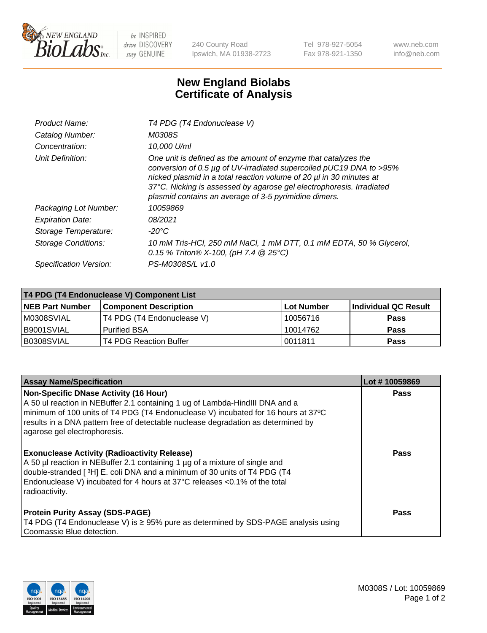

 $be$  INSPIRED drive DISCOVERY stay GENUINE

240 County Road Ipswich, MA 01938-2723 Tel 978-927-5054 Fax 978-921-1350 www.neb.com info@neb.com

## **New England Biolabs Certificate of Analysis**

| Product Name:              | T4 PDG (T4 Endonuclease V)                                                                                                                                                                                                                                                                                                                    |
|----------------------------|-----------------------------------------------------------------------------------------------------------------------------------------------------------------------------------------------------------------------------------------------------------------------------------------------------------------------------------------------|
| Catalog Number:            | M0308S                                                                                                                                                                                                                                                                                                                                        |
| Concentration:             | 10.000 U/ml                                                                                                                                                                                                                                                                                                                                   |
| Unit Definition:           | One unit is defined as the amount of enzyme that catalyzes the<br>conversion of 0.5 µg of UV-irradiated supercoiled pUC19 DNA to >95%<br>nicked plasmid in a total reaction volume of 20 µl in 30 minutes at<br>37°C. Nicking is assessed by agarose gel electrophoresis. Irradiated<br>plasmid contains an average of 3-5 pyrimidine dimers. |
| Packaging Lot Number:      | 10059869                                                                                                                                                                                                                                                                                                                                      |
| <b>Expiration Date:</b>    | 08/2021                                                                                                                                                                                                                                                                                                                                       |
| Storage Temperature:       | $-20^{\circ}$ C                                                                                                                                                                                                                                                                                                                               |
| <b>Storage Conditions:</b> | 10 mM Tris-HCl, 250 mM NaCl, 1 mM DTT, 0.1 mM EDTA, 50 % Glycerol,<br>0.15 % Triton® X-100, (pH 7.4 @ 25°C)                                                                                                                                                                                                                                   |
| Specification Version:     | PS-M0308S/L v1.0                                                                                                                                                                                                                                                                                                                              |

| T4 PDG (T4 Endonuclease V) Component List |                              |            |                      |  |
|-------------------------------------------|------------------------------|------------|----------------------|--|
| <b>NEB Part Number</b>                    | <b>Component Description</b> | Lot Number | Individual QC Result |  |
| IM0308SVIAL                               | T4 PDG (T4 Endonuclease V)   | 10056716   | <b>Pass</b>          |  |
| IB9001SVIAL                               | <b>Purified BSA</b>          | 10014762   | <b>Pass</b>          |  |
| B0308SVIAL                                | T4 PDG Reaction Buffer       | 0011811    | Pass                 |  |

| <b>Assay Name/Specification</b>                                                                                                                                                                                                                                                                                                        | Lot #10059869 |
|----------------------------------------------------------------------------------------------------------------------------------------------------------------------------------------------------------------------------------------------------------------------------------------------------------------------------------------|---------------|
| <b>Non-Specific DNase Activity (16 Hour)</b><br>A 50 ul reaction in NEBuffer 2.1 containing 1 ug of Lambda-HindIII DNA and a<br>minimum of 100 units of T4 PDG (T4 Endonuclease V) incubated for 16 hours at 37°C<br>results in a DNA pattern free of detectable nuclease degradation as determined by<br>agarose gel electrophoresis. | <b>Pass</b>   |
| <b>Exonuclease Activity (Radioactivity Release)</b><br>A 50 µl reaction in NEBuffer 2.1 containing 1 µg of a mixture of single and<br>double-stranded [3H] E. coli DNA and a minimum of 30 units of T4 PDG (T4<br>Endonuclease V) incubated for 4 hours at 37°C releases <0.1% of the total<br>radioactivity.                          | <b>Pass</b>   |
| <b>Protein Purity Assay (SDS-PAGE)</b><br>T4 PDG (T4 Endonuclease V) is ≥ 95% pure as determined by SDS-PAGE analysis using<br>Coomassie Blue detection.                                                                                                                                                                               | Pass          |